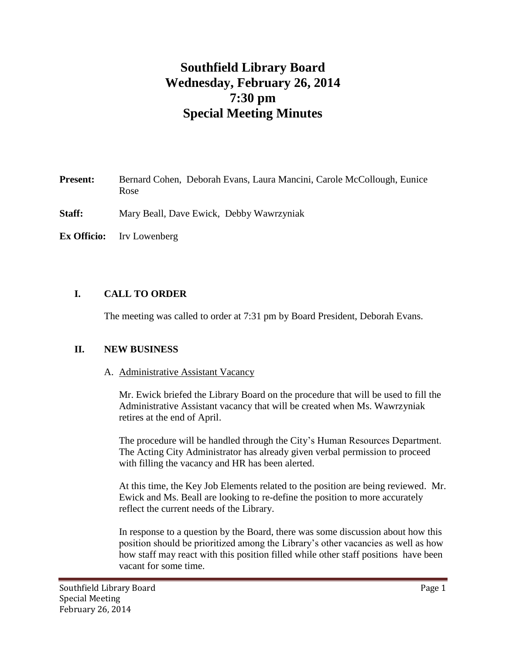# **Southfield Library Board Wednesday, February 26, 2014 7:30 pm Special Meeting Minutes**

- **Present:** Bernard Cohen, Deborah Evans, Laura Mancini, Carole McCollough, Eunice Rose
- **Staff:** Mary Beall, Dave Ewick, Debby Wawrzyniak
- **Ex Officio:** Irv Lowenberg

## **I. CALL TO ORDER**

The meeting was called to order at 7:31 pm by Board President, Deborah Evans.

#### **II. NEW BUSINESS**

#### A. Administrative Assistant Vacancy

Mr. Ewick briefed the Library Board on the procedure that will be used to fill the Administrative Assistant vacancy that will be created when Ms. Wawrzyniak retires at the end of April.

The procedure will be handled through the City's Human Resources Department. The Acting City Administrator has already given verbal permission to proceed with filling the vacancy and HR has been alerted.

At this time, the Key Job Elements related to the position are being reviewed. Mr. Ewick and Ms. Beall are looking to re-define the position to more accurately reflect the current needs of the Library.

In response to a question by the Board, there was some discussion about how this position should be prioritized among the Library's other vacancies as well as how how staff may react with this position filled while other staff positions have been vacant for some time.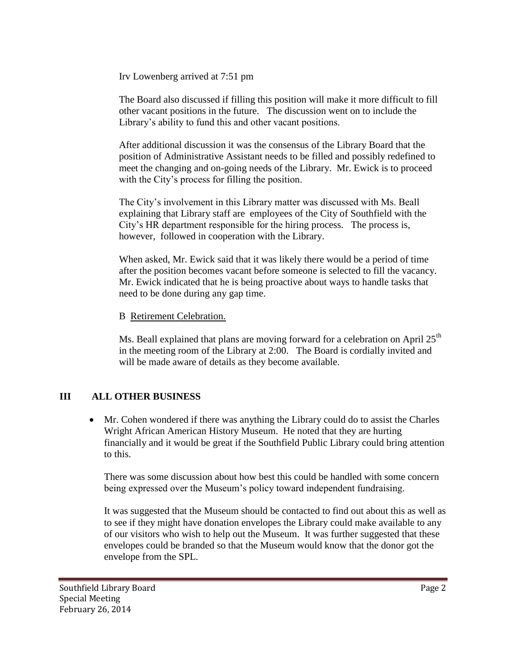Irv Lowenberg arrived at 7:51 pm

The Board also discussed if filling this position will make it more difficult to fill other vacant positions in the future. The discussion went on to include the Library's ability to fund this and other vacant positions.

After additional discussion it was the consensus of the Library Board that the position of Administrative Assistant needs to be filled and possibly redefined to meet the changing and on-going needs of the Library. Mr. Ewick is to proceed with the City's process for filling the position.

The City's involvement in this Library matter was discussed with Ms. Beall explaining that Library staff are employees of the City of Southfield with the City's HR department responsible for the hiring process. The process is, however, followed in cooperation with the Library.

When asked, Mr. Ewick said that it was likely there would be a period of time after the position becomes vacant before someone is selected to fill the vacancy. Mr. Ewick indicated that he is being proactive about ways to handle tasks that need to be done during any gap time.

#### B Retirement Celebration.

Ms. Beall explained that plans are moving forward for a celebration on April  $25<sup>th</sup>$ in the meeting room of the Library at 2:00. The Board is cordially invited and will be made aware of details as they become available.

## **III ALL OTHER BUSINESS**

 Mr. Cohen wondered if there was anything the Library could do to assist the Charles Wright African American History Museum. He noted that they are hurting financially and it would be great if the Southfield Public Library could bring attention to this.

There was some discussion about how best this could be handled with some concern being expressed over the Museum's policy toward independent fundraising.

It was suggested that the Museum should be contacted to find out about this as well as to see if they might have donation envelopes the Library could make available to any of our visitors who wish to help out the Museum. It was further suggested that these envelopes could be branded so that the Museum would know that the donor got the envelope from the SPL.